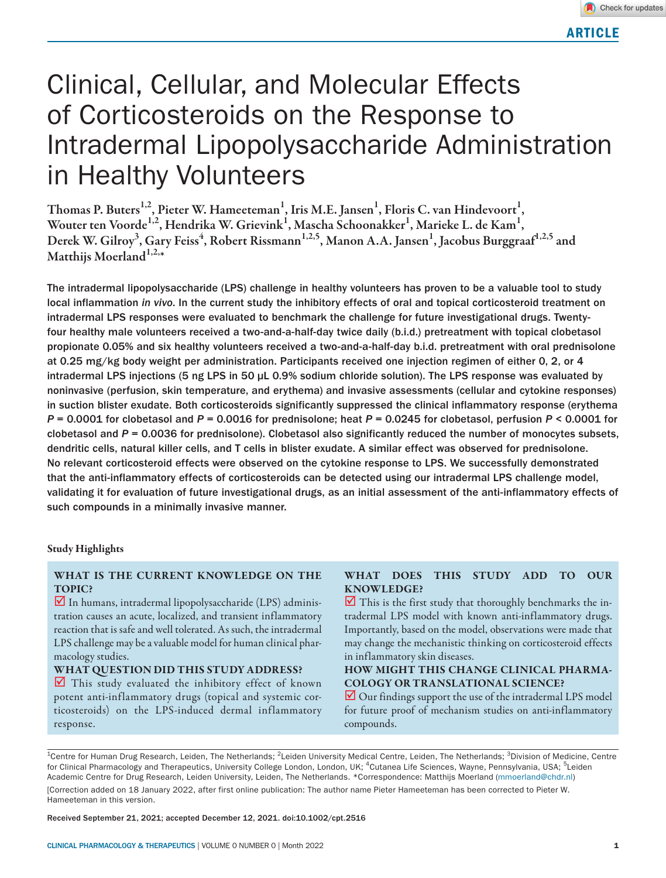# Clinical, Cellular, and Molecular Effects of Corticosteroids on the Response to Intradermal Lipopolysaccharide Administration in Healthy Volunteers

Thomas P. Buters<sup>1,2</sup>, Pieter W. Hameeteman<sup>1</sup>, Iris M.E. Jansen<sup>1</sup>, Floris C. van Hindevoort<sup>1</sup>, Wouter ten Voorde $^{1,2}$ , Hendrika W. Grievink $^{1}$ , Mascha Schoonakker $^{1}$ , Marieke L. de Kam $^{1},$ Derek W. Gilroy<sup>3</sup>, Gary Feiss<sup>4</sup>, Robert Rissmann<sup>1,2,5</sup>, Manon A.A. Jansen<sup>1</sup>, Jacobus Burggraaf<sup>1,2,5</sup> and Matthijs Moerland $1,2,*$ 

The intradermal lipopolysaccharide (LPS) challenge in healthy volunteers has proven to be a valuable tool to study local inflammation *in vivo*. In the current study the inhibitory effects of oral and topical corticosteroid treatment on intradermal LPS responses were evaluated to benchmark the challenge for future investigational drugs. Twentyfour healthy male volunteers received a two-and-a-half-day twice daily (b.i.d.) pretreatment with topical clobetasol propionate 0.05% and six healthy volunteers received a two-and-a-half-day b.i.d. pretreatment with oral prednisolone at 0.25 mg/kg body weight per administration. Participants received one injection regimen of either 0, 2, or 4 intradermal LPS injections (5 ng LPS in 50 µL 0.9% sodium chloride solution). The LPS response was evaluated by noninvasive (perfusion, skin temperature, and erythema) and invasive assessments (cellular and cytokine responses) in suction blister exudate. Both corticosteroids significantly suppressed the clinical inflammatory response (erythema *P* = 0.0001 for clobetasol and *P* = 0.0016 for prednisolone; heat *P* = 0.0245 for clobetasol, perfusion *P* < 0.0001 for clobetasol and *P* = 0.0036 for prednisolone). Clobetasol also significantly reduced the number of monocytes subsets, dendritic cells, natural killer cells, and T cells in blister exudate. A similar effect was observed for prednisolone. No relevant corticosteroid effects were observed on the cytokine response to LPS. We successfully demonstrated that the anti-inflammatory effects of corticosteroids can be detected using our intradermal LPS challenge model, validating it for evaluation of future investigational drugs, as an initial assessment of the anti-inflammatory effects of such compounds in a minimally invasive manner.

## Study Highlights

# WHAT IS THE CURRENT KNOWLEDGE ON THE TOPIC?

 $\blacksquare$  In humans, intradermal lipopolysaccharide (LPS) administration causes an acute, localized, and transient inflammatory reaction that is safe and well tolerated. As such, the intradermal LPS challenge may be a valuable model for human clinical pharmacology studies.

## WHAT QUESTION DID THIS STUDY ADDRESS?

 $\blacksquare$  This study evaluated the inhibitory effect of known potent anti-inflammatory drugs (topical and systemic corticosteroids) on the LPS-induced dermal inflammatory response.

# WHAT DOES THIS STUDY ADD TO OUR KNOWLEDGE?

 $\blacksquare$  This is the first study that thoroughly benchmarks the intradermal LPS model with known anti-inflammatory drugs. Importantly, based on the model, observations were made that may change the mechanistic thinking on corticosteroid effects in inflammatory skin diseases.

# HOW MIGHT THIS CHANGE CLINICAL PHARMA-COLOGY OR TRANSLATIONAL SCIENCE?

 $\Box$  Our findings support the use of the intradermal LPS model for future proof of mechanism studies on anti-inflammatory compounds.

<sup>1</sup>Centre for Human Drug Research, Leiden, The Netherlands; <sup>2</sup>Leiden University Medical Centre, Leiden, The Netherlands; <sup>3</sup>Division of Medicine, Centre for Clinical Pharmacology and Therapeutics, University College London, London, UK; <sup>4</sup>Cutanea Life Sciences, Wayne, Pennsylvania, USA; <sup>5</sup>Leiden Academic Centre for Drug Research, Leiden University, Leiden, The Netherlands. \*Correspondence: Matthijs Moerland [\(mmoerland@chdr.nl\)](mailto:mmoerland@chdr.nl)

[Correction added on 18 January 2022, after first online publication: The author name Pieter Hameeteman has been corrected to Pieter W. Hameeteman in this version.

Received September 21, 2021; accepted December 12, 2021. doi:10.1002/cpt.2516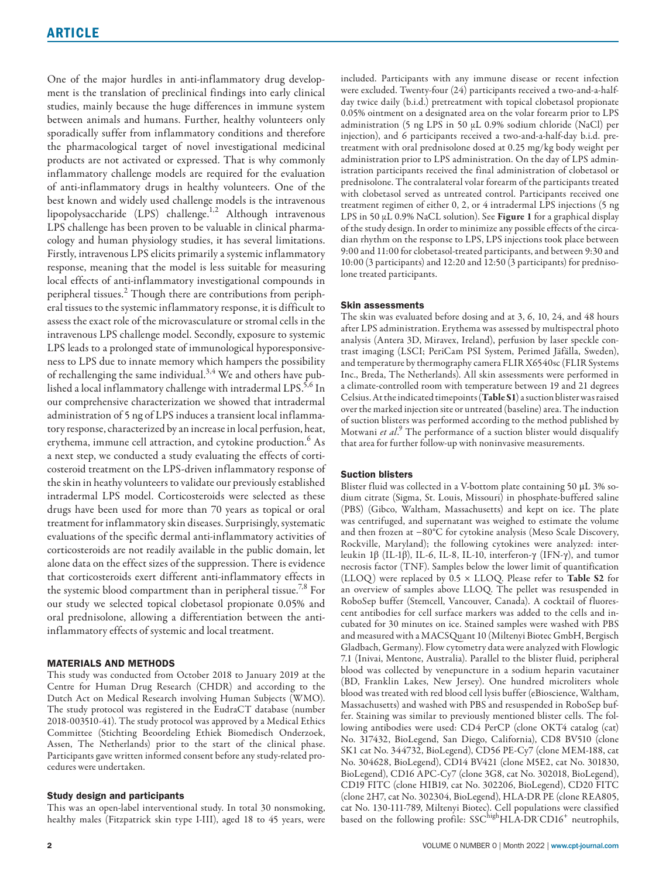One of the major hurdles in anti-inflammatory drug development is the translation of preclinical findings into early clinical studies, mainly because the huge differences in immune system between animals and humans. Further, healthy volunteers only sporadically suffer from inflammatory conditions and therefore the pharmacological target of novel investigational medicinal products are not activated or expressed. That is why commonly inflammatory challenge models are required for the evaluation of anti-inflammatory drugs in healthy volunteers. One of the best known and widely used challenge models is the intravenous lipopolysaccharide (LPS) challenge.1,2 Although intravenous LPS challenge has been proven to be valuable in clinical pharmacology and human physiology studies, it has several limitations. Firstly, intravenous LPS elicits primarily a systemic inflammatory response, meaning that the model is less suitable for measuring local effects of anti-inflammatory investigational compounds in peripheral tissues.<sup>2</sup> Though there are contributions from peripheral tissues to the systemic inflammatory response, it is difficult to assess the exact role of the microvasculature or stromal cells in the intravenous LPS challenge model. Secondly, exposure to systemic LPS leads to a prolonged state of immunological hyporesponsiveness to LPS due to innate memory which hampers the possibility of rechallenging the same individual.<sup>3,4</sup> We and others have published a local inflammatory challenge with intradermal LPS.<sup>5,6</sup> In our comprehensive characterization we showed that intradermal administration of 5 ng of LPS induces a transient local inflammatory response, characterized by an increase in local perfusion, heat, erythema, immune cell attraction, and cytokine production. $^6$  As a next step, we conducted a study evaluating the effects of corticosteroid treatment on the LPS-driven inflammatory response of the skin in heathy volunteers to validate our previously established intradermal LPS model. Corticosteroids were selected as these drugs have been used for more than 70 years as topical or oral treatment for inflammatory skin diseases. Surprisingly, systematic evaluations of the specific dermal anti-inflammatory activities of corticosteroids are not readily available in the public domain, let alone data on the effect sizes of the suppression. There is evidence that corticosteroids exert different anti-inflammatory effects in the systemic blood compartment than in peripheral tissue.<sup>7,8</sup> For our study we selected topical clobetasol propionate 0.05% and oral prednisolone, allowing a differentiation between the antiinflammatory effects of systemic and local treatment.

## MATERIALS AND METHODS

This study was conducted from October 2018 to January 2019 at the Centre for Human Drug Research (CHDR) and according to the Dutch Act on Medical Research involving Human Subjects (WMO). The study protocol was registered in the EudraCT database (number 2018-003510-41). The study protocol was approved by a Medical Ethics Committee (Stichting Beoordeling Ethiek Biomedisch Onderzoek, Assen, The Netherlands) prior to the start of the clinical phase. Participants gave written informed consent before any study-related procedures were undertaken.

#### Study design and participants

This was an open-label interventional study. In total 30 nonsmoking, healthy males (Fitzpatrick skin type I-III), aged 18 to 45 years, were

included. Participants with any immune disease or recent infection were excluded. Twenty-four (24) participants received a two-and-a-halfday twice daily (b.i.d.) pretreatment with topical clobetasol propionate 0.05% ointment on a designated area on the volar forearm prior to LPS administration (5 ng LPS in 50 µL 0.9% sodium chloride (NaCl) per injection), and 6 participants received a two-and-a-half-day b.i.d. pretreatment with oral prednisolone dosed at 0.25 mg/kg body weight per administration prior to LPS administration. On the day of LPS administration participants received the final administration of clobetasol or prednisolone. The contralateral volar forearm of the participants treated with clobetasol served as untreated control. Participants received one treatment regimen of either 0, 2, or 4 intradermal LPS injections (5 ng LPS in 50 µL 0.9% NaCL solution). See Figure 1 for a graphical display of the study design. In order to minimize any possible effects of the circadian rhythm on the response to LPS, LPS injections took place between 9:00 and 11:00 for clobetasol-treated participants, and between 9:30 and 10:00 (3 participants) and 12:20 and 12:50 (3 participants) for prednisolone treated participants.

## Skin assessments

The skin was evaluated before dosing and at 3, 6, 10, 24, and 48 hours after LPS administration. Erythema was assessed by multispectral photo analysis (Antera 3D, Miravex, Ireland), perfusion by laser speckle contrast imaging (LSCI; PeriCam PSI System, Perimed Jäfälla, Sweden), and temperature by thermography camera FLIR X6540sc (FLIR Systems Inc., Breda, The Netherlands). All skin assessments were performed in a climate-controlled room with temperature between 19 and 21 degrees Celsius. At the indicated timepoints (Table S1) a suction blister was raised over the marked injection site or untreated (baseline) area. The induction of suction blisters was performed according to the method published by Motwani et al.<sup>9</sup> The performance of a suction blister would disqualify that area for further follow-up with noninvasive measurements.

## Suction blisters

Blister fluid was collected in a V-bottom plate containing 50 μL 3% sodium citrate (Sigma, St. Louis, Missouri) in phosphate-buffered saline (PBS) (Gibco, Waltham, Massachusetts) and kept on ice. The plate was centrifuged, and supernatant was weighed to estimate the volume and then frozen at −80°C for cytokine analysis (Meso Scale Discovery, Rockville, Maryland); the following cytokines were analyzed: interleukin 1β (IL-1β), IL-6, IL-8, IL-10, interferon-γ (IFN-γ), and tumor necrosis factor (TNF). Samples below the lower limit of quantification (LLOQ) were replaced by  $0.5 \times LLOQ$ . Please refer to Table S2 for an overview of samples above LLOQ. The pellet was resuspended in RoboSep buffer (Stemcell, Vancouver, Canada). A cocktail of fluorescent antibodies for cell surface markers was added to the cells and incubated for 30 minutes on ice. Stained samples were washed with PBS and measured with a MACSQuant 10 (Miltenyi Biotec GmbH, Bergisch Gladbach, Germany). Flow cytometry data were analyzed with Flowlogic 7.1 (Inivai, Mentone, Australia). Parallel to the blister fluid, peripheral blood was collected by venepuncture in a sodium heparin vacutainer (BD, Franklin Lakes, New Jersey). One hundred microliters whole blood was treated with red blood cell lysis buffer (eBioscience, Waltham, Massachusetts) and washed with PBS and resuspended in RoboSep buffer. Staining was similar to previously mentioned blister cells. The following antibodies were used: CD4 PerCP (clone OKT4 catalog (cat) No. 317432, BioLegend, San Diego, California), CD8 BV510 (clone SK1 cat No. 344732, BioLegend), CD56 PE-Cy7 (clone MEM-188, cat No. 304628, BioLegend), CD14 BV421 (clone M5E2, cat No. 301830, BioLegend), CD16 APC-Cy7 (clone 3G8, cat No. 302018, BioLegend), CD19 FITC (clone HIB19, cat No. 302206, BioLegend), CD20 FITC (clone 2H7, cat No. 302304, BioLegend), HLA-DR PE (clone REA805, cat No. 130-111-789, Miltenyi Biotec). Cell populations were classified based on the following profile:  $SSC<sup>high</sup>HLA-DRCD16<sup>+</sup>$  neutrophils,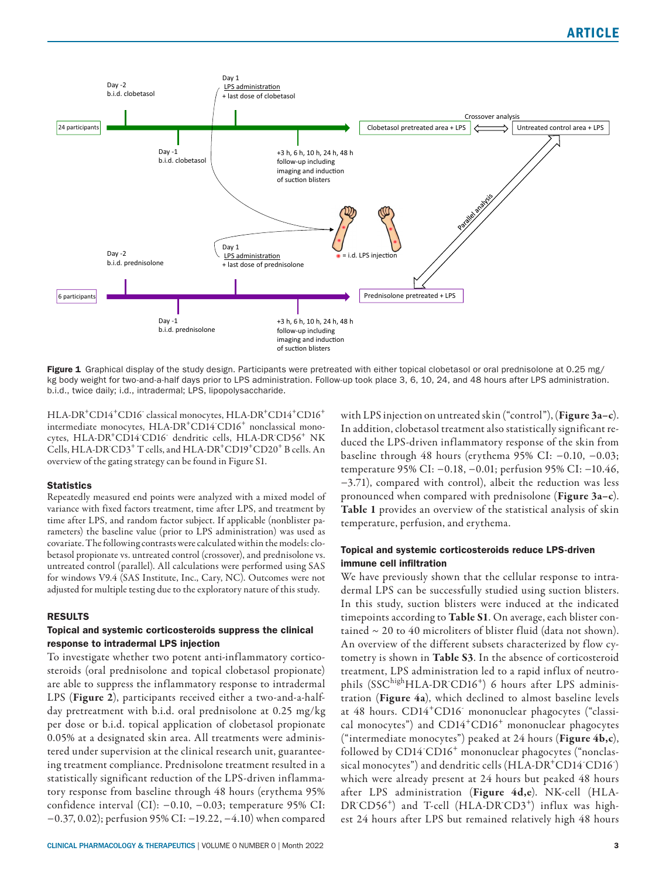

Figure 1 Graphical display of the study design. Participants were pretreated with either topical clobetasol or oral prednisolone at 0.25 mg/ kg body weight for two-and-a-half days prior to LPS administration. Follow-up took place 3, 6, 10, 24, and 48 hours after LPS administration. b.i.d., twice daily; i.d., intradermal; LPS, lipopolysaccharide.

HLA-DR<sup>+</sup>CD14<sup>+</sup>CD16<sup>-</sup> classical monocytes, HLA-DR<sup>+</sup>CD14<sup>+</sup>CD16<sup>+</sup> intermediate monocytes, HLA-DR<sup>+</sup>CD14<sup>-</sup>CD16<sup>+</sup> nonclassical monocytes, HLA-DR<sup>+</sup>CD14 CD16<sup>-</sup> dendritic cells, HLA-DR<sup>-</sup>CD56<sup>+</sup> NK Cells, HLA-DR<sup>CD3+</sup> T cells, and HLA-DR<sup>+</sup>CD19<sup>+</sup>CD20<sup>+</sup> B cells. An overview of the gating strategy can be found in Figure S1.

## **Statistics**

Repeatedly measured end points were analyzed with a mixed model of variance with fixed factors treatment, time after LPS, and treatment by time after LPS, and random factor subject. If applicable (nonblister parameters) the baseline value (prior to LPS administration) was used as covariate. The following contrasts were calculated within the models: clobetasol propionate vs. untreated control (crossover), and prednisolone vs. untreated control (parallel). All calculations were performed using SAS for windows V9.4 (SAS Institute, Inc., Cary, NC). Outcomes were not adjusted for multiple testing due to the exploratory nature of this study.

## RESULTS

## Topical and systemic corticosteroids suppress the clinical response to intradermal LPS injection

To investigate whether two potent anti-inflammatory corticosteroids (oral prednisolone and topical clobetasol propionate) are able to suppress the inflammatory response to intradermal LPS (Figure 2), participants received either a two-and-a-halfday pretreatment with b.i.d. oral prednisolone at 0.25 mg/kg per dose or b.i.d. topical application of clobetasol propionate 0.05% at a designated skin area. All treatments were administered under supervision at the clinical research unit, guaranteeing treatment compliance. Prednisolone treatment resulted in a statistically significant reduction of the LPS-driven inflammatory response from baseline through 48 hours (erythema 95% confidence interval (CI): −0.10, −0.03; temperature 95% CI: −0.37, 0.02); perfusion 95% CI: −19.22, −4.10) when compared

CLINICAL PHARMACOLOGY & THERAPEUTICS | VOLUME 0 NUMBER 0 | Month 2022 3

with LPS injection on untreated skin ("control"), (Figure 3a-c). In addition, clobetasol treatment also statistically significant reduced the LPS-driven inflammatory response of the skin from baseline through 48 hours (erythema 95% CI: −0.10, −0.03; temperature 95% CI: −0.18, −0.01; perfusion 95% CI: −10.46, −3.71), compared with control), albeit the reduction was less pronounced when compared with prednisolone (Figure 3a–c). Table 1 provides an overview of the statistical analysis of skin temperature, perfusion, and erythema.

## Topical and systemic corticosteroids reduce LPS-driven immune cell infiltration

We have previously shown that the cellular response to intradermal LPS can be successfully studied using suction blisters. In this study, suction blisters were induced at the indicated timepoints according to Table S1. On average, each blister contained  $\sim$  20 to 40 microliters of blister fluid (data not shown). An overview of the different subsets characterized by flow cytometry is shown in Table S3. In the absence of corticosteroid treatment, LPS administration led to a rapid influx of neutrophils (SSC<sup>high</sup>HLA-DR<sup>-</sup>CD16<sup>+</sup>) 6 hours after LPS administration (Figure 4a), which declined to almost baseline levels at 48 hours. CD14<sup>+</sup>CD16<sup>-</sup> mononuclear phagocytes ("classical monocytes") and CD14+CD16+ mononuclear phagocytes ("intermediate monocytes") peaked at 24 hours (Figure  $4b,c$ ), followed by CD14<sup>-</sup>CD16<sup>+</sup> mononuclear phagocytes ("nonclassical monocytes") and dendritic cells (HLA-DR<sup>+</sup>CD14<sup>-</sup>CD16<sup>-</sup>) which were already present at 24 hours but peaked 48 hours after LPS administration (Figure 4d,e). NK-cell (HLA-DR<sup>CD56+</sup>) and T-cell (HLA-DR<sup>CD3+</sup>) influx was highest 24 hours after LPS but remained relatively high 48 hours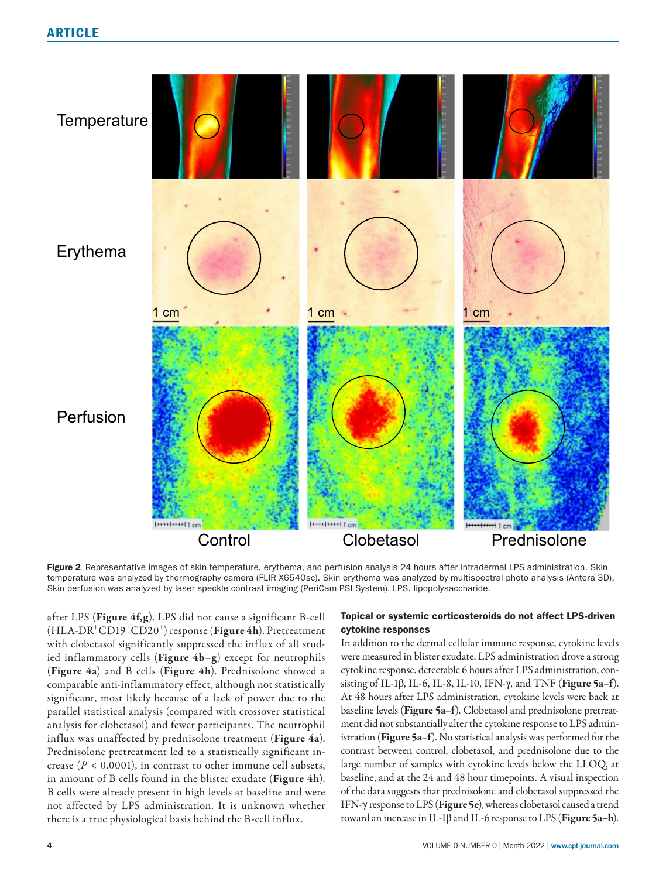

Figure 2 Representative images of skin temperature, erythema, and perfusion analysis 24 hours after intradermal LPS administration. Skin temperature was analyzed by thermography camera (FLIR X6540sc). Skin erythema was analyzed by multispectral photo analysis (Antera 3D). Skin perfusion was analyzed by laser speckle contrast imaging (PeriCam PSI System). LPS, lipopolysaccharide.

after LPS (Figure 4f,g). LPS did not cause a significant B-cell (HLA-DR<sup>+</sup>CD19<sup>+</sup>CD20<sup>+</sup>) response (Figure 4h). Pretreatment with clobetasol significantly suppressed the influx of all studied inflammatory cells (Figure 4b–g) except for neutrophils (Figure 4a) and B cells (Figure 4h). Prednisolone showed a comparable anti-inflammatory effect, although not statistically significant, most likely because of a lack of power due to the parallel statistical analysis (compared with crossover statistical analysis for clobetasol) and fewer participants. The neutrophil influx was unaffected by prednisolone treatment (Figure 4a). Prednisolone pretreatment led to a statistically significant increase ( $P < 0.0001$ ), in contrast to other immune cell subsets, in amount of B cells found in the blister exudate (Figure 4h). B cells were already present in high levels at baseline and were not affected by LPS administration. It is unknown whether there is a true physiological basis behind the B-cell influx.

# Topical or systemic corticosteroids do not affect LPS-driven cytokine responses

In addition to the dermal cellular immune response, cytokine levels were measured in blister exudate. LPS administration drove a strong cytokine response, detectable 6 hours after LPS administration, consisting of IL-1β, IL-6, IL-8, IL-10, IFN-γ, and TNF (**Figure 5a–f**). At 48 hours after LPS administration, cytokine levels were back at baseline levels (Figure 5a–f). Clobetasol and prednisolone pretreatment did not substantially alter the cytokine response to LPS administration (Figure 5a–f). No statistical analysis was performed for the contrast between control, clobetasol, and prednisolone due to the large number of samples with cytokine levels below the LLOQ, at baseline, and at the 24 and 48 hour timepoints. A visual inspection of the data suggests that prednisolone and clobetasol suppressed the IFN-γ response to LPS (Figure 5e), whereas clobetasol caused a trend toward an increase in IL-1β and IL-6 response to LPS (**Figure 5a–b**).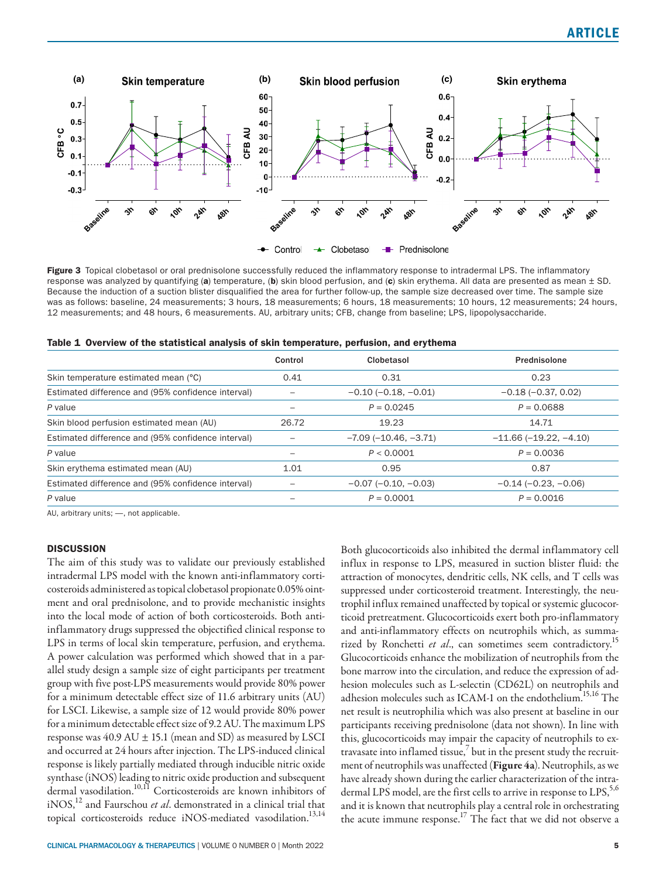

Figure 3 Topical clobetasol or oral prednisolone successfully reduced the inflammatory response to intradermal LPS. The inflammatory response was analyzed by quantifying (a) temperature, (b) skin blood perfusion, and (c) skin erythema. All data are presented as mean  $\pm$  SD. Because the induction of a suction blister disqualified the area for further follow-up, the sample size decreased over time. The sample size was as follows: baseline, 24 measurements; 3 hours, 18 measurements; 6 hours, 18 measurements; 10 hours, 12 measurements; 24 hours, 12 measurements; and 48 hours, 6 measurements. AU, arbitrary units; CFB, change from baseline; LPS, lipopolysaccharide.

|  |  |  |  | Table 1 Overview of the statistical analysis of skin temperature, perfusion, and erythema |  |
|--|--|--|--|-------------------------------------------------------------------------------------------|--|
|  |  |  |  |                                                                                           |  |

|                                                    | Control | Clobetasol                    | Prednisolone                  |
|----------------------------------------------------|---------|-------------------------------|-------------------------------|
| Skin temperature estimated mean (°C)               | 0.41    | 0.31                          | 0.23                          |
| Estimated difference and (95% confidence interval) |         | $-0.10$ ( $-0.18$ , $-0.01$ ) | $-0.18$ ( $-0.37$ , 0.02)     |
| P value                                            |         | $P = 0.0245$                  | $P = 0.0688$                  |
| Skin blood perfusion estimated mean (AU)           | 26.72   | 19.23                         | 14.71                         |
| Estimated difference and (95% confidence interval) |         | $-7.09(-10.46, -3.71)$        | $-11.66(-19.22, -4.10)$       |
| P value                                            |         | P < 0.0001                    | $P = 0.0036$                  |
| Skin erythema estimated mean (AU)                  | 1.01    | 0.95                          | 0.87                          |
| Estimated difference and (95% confidence interval) |         | $-0.07$ ( $-0.10, -0.03$ )    | $-0.14$ ( $-0.23$ , $-0.06$ ) |
| P value                                            |         | $P = 0.0001$                  | $P = 0.0016$                  |

AU, arbitrary units; —, not applicable.

# **DISCUSSION**

The aim of this study was to validate our previously established intradermal LPS model with the known anti-inflammatory corticosteroids administered as topical clobetasol propionate 0.05% ointment and oral prednisolone, and to provide mechanistic insights into the local mode of action of both corticosteroids. Both antiinflammatory drugs suppressed the objectified clinical response to LPS in terms of local skin temperature, perfusion, and erythema. A power calculation was performed which showed that in a parallel study design a sample size of eight participants per treatment group with five post-LPS measurements would provide 80% power for a minimum detectable effect size of 11.6 arbitrary units (AU) for LSCI. Likewise, a sample size of 12 would provide 80% power for a minimum detectable effect size of 9.2 AU. The maximum LPS response was  $40.9 \text{ AU} \pm 15.1 \text{ (mean and SD)}$  as measured by LSCI and occurred at 24 hours after injection. The LPS-induced clinical response is likely partially mediated through inducible nitric oxide synthase (iNOS) leading to nitric oxide production and subsequent dermal vasodilation.10,11 Corticosteroids are known inhibitors of iNOS,12 and Faurschou *et al*. demonstrated in a clinical trial that topical corticosteroids reduce iNOS-mediated vasodilation.<sup>13,14</sup>

Both glucocorticoids also inhibited the dermal inflammatory cell influx in response to LPS, measured in suction blister fluid: the attraction of monocytes, dendritic cells, NK cells, and T cells was suppressed under corticosteroid treatment. Interestingly, the neutrophil influx remained unaffected by topical or systemic glucocorticoid pretreatment. Glucocorticoids exert both pro-inflammatory and anti-inflammatory effects on neutrophils which, as summarized by Ronchetti *et al*., can sometimes seem contradictory.15 Glucocorticoids enhance the mobilization of neutrophils from the bone marrow into the circulation, and reduce the expression of adhesion molecules such as L-selectin (CD62L) on neutrophils and adhesion molecules such as ICAM-1 on the endothelium.15,16 The net result is neutrophilia which was also present at baseline in our participants receiving prednisolone (data not shown). In line with this, glucocorticoids may impair the capacity of neutrophils to extravasate into inflamed tissue, $^7$  but in the present study the recruitment of neutrophils was unaffected (Figure 4a). Neutrophils, as we have already shown during the earlier characterization of the intradermal LPS model, are the first cells to arrive in response to LPS,<sup>5,6</sup> and it is known that neutrophils play a central role in orchestrating the acute immune response.17 The fact that we did not observe a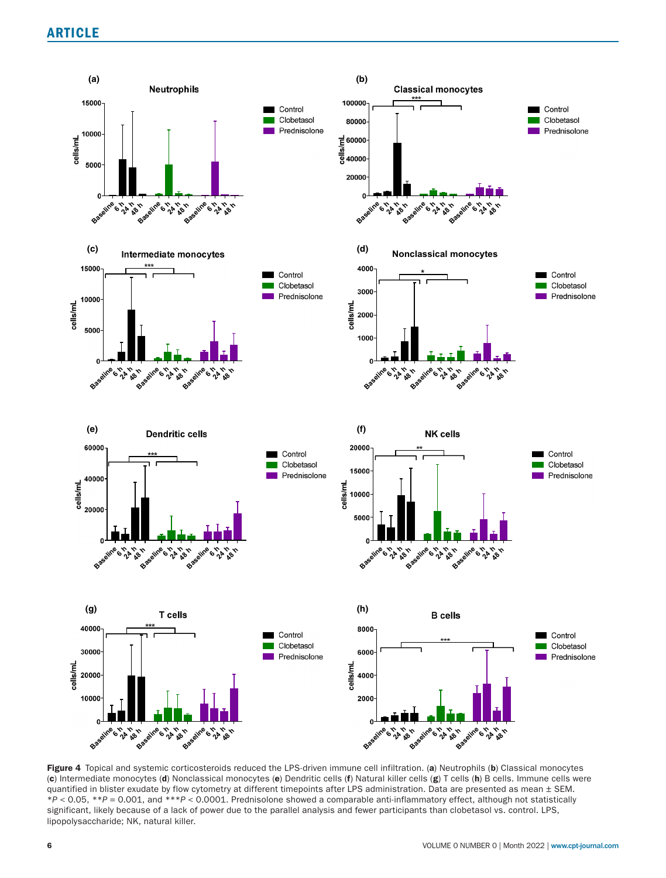

Figure 4 Topical and systemic corticosteroids reduced the LPS-driven immune cell infiltration. (a) Neutrophils (b) Classical monocytes (c) Intermediate monocytes (d) Nonclassical monocytes (e) Dendritic cells (f) Natural killer cells (g) T cells (h) B cells. Immune cells were quantified in blister exudate by flow cytometry at different timepoints after LPS administration. Data are presented as mean  $\pm$  SEM. \**P* < 0.05, \*\**P* = 0.001, and \*\*\**P* < 0.0001. Prednisolone showed a comparable anti-inflammatory effect, although not statistically significant, likely because of a lack of power due to the parallel analysis and fewer participants than clobetasol vs. control. LPS, lipopolysaccharide; NK, natural killer.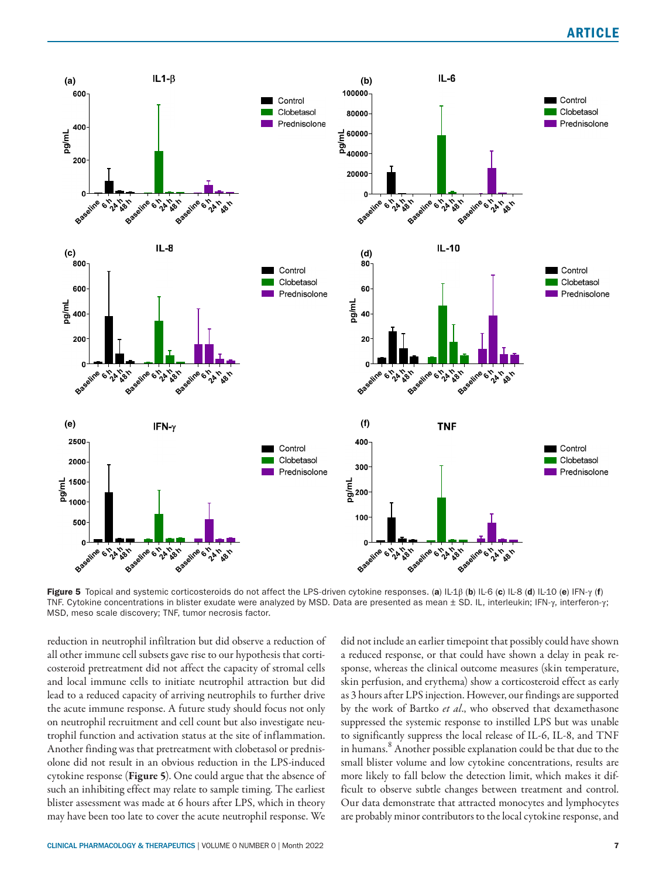

Figure 5 Topical and systemic corticosteroids do not affect the LPS-driven cytokine responses. (a) IL-1β (b) IL-6 (c) IL-8 (d) IL-10 (e) IFN-γ (f) TNF. Cytokine concentrations in blister exudate were analyzed by MSD. Data are presented as mean ± SD. IL, interleukin; IFN-γ, interferon-γ; MSD, meso scale discovery; TNF, tumor necrosis factor.

reduction in neutrophil infiltration but did observe a reduction of all other immune cell subsets gave rise to our hypothesis that corticosteroid pretreatment did not affect the capacity of stromal cells and local immune cells to initiate neutrophil attraction but did lead to a reduced capacity of arriving neutrophils to further drive the acute immune response. A future study should focus not only on neutrophil recruitment and cell count but also investigate neutrophil function and activation status at the site of inflammation. Another finding was that pretreatment with clobetasol or prednisolone did not result in an obvious reduction in the LPS-induced cytokine response (Figure 5). One could argue that the absence of such an inhibiting effect may relate to sample timing. The earliest blister assessment was made at 6 hours after LPS, which in theory may have been too late to cover the acute neutrophil response. We did not include an earlier timepoint that possibly could have shown a reduced response, or that could have shown a delay in peak response, whereas the clinical outcome measures (skin temperature, skin perfusion, and erythema) show a corticosteroid effect as early as 3 hours after LPS injection. However, our findings are supported by the work of Bartko *et al*., who observed that dexamethasone suppressed the systemic response to instilled LPS but was unable to significantly suppress the local release of IL-6, IL-8, and TNF in humans.<sup>8</sup> Another possible explanation could be that due to the small blister volume and low cytokine concentrations, results are more likely to fall below the detection limit, which makes it difficult to observe subtle changes between treatment and control. Our data demonstrate that attracted monocytes and lymphocytes are probably minor contributors to the local cytokine response, and